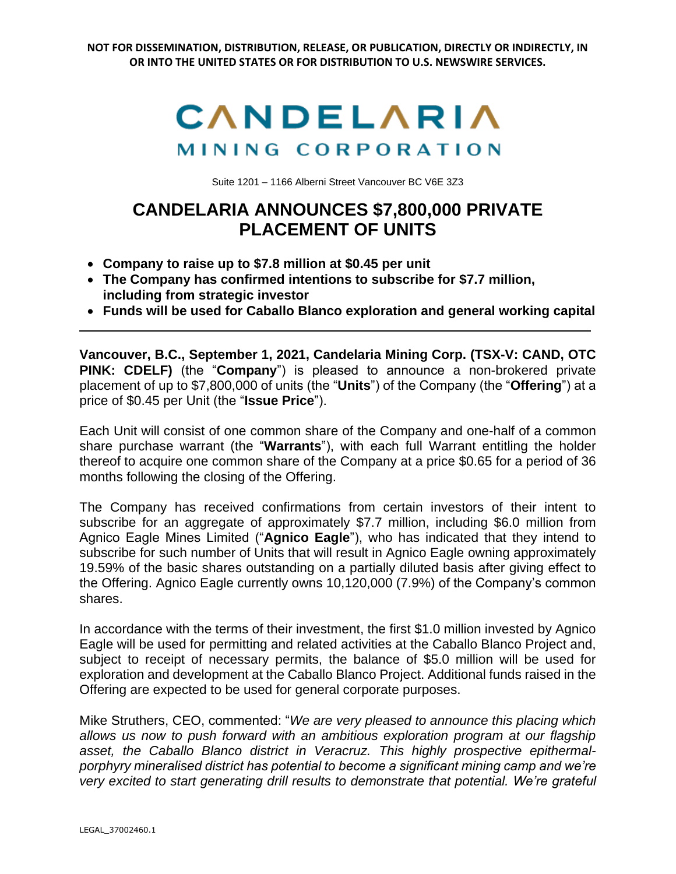

Suite 1201 – 1166 Alberni Street Vancouver BC V6E 3Z3

## **CANDELARIA ANNOUNCES \$7,800,000 PRIVATE PLACEMENT OF UNITS**

- **Company to raise up to \$7.8 million at \$0.45 per unit**
- **The Company has confirmed intentions to subscribe for \$7.7 million, including from strategic investor**
- **Funds will be used for Caballo Blanco exploration and general working capital**

**Vancouver, B.C., September 1, 2021, Candelaria Mining Corp. (TSX-V: CAND, OTC PINK: CDELF)** (the "**Company**") is pleased to announce a non-brokered private placement of up to \$7,800,000 of units (the "**Units**") of the Company (the "**Offering**") at a price of \$0.45 per Unit (the "**Issue Price**").

Each Unit will consist of one common share of the Company and one-half of a common share purchase warrant (the "**Warrants**"), with each full Warrant entitling the holder thereof to acquire one common share of the Company at a price \$0.65 for a period of 36 months following the closing of the Offering.

The Company has received confirmations from certain investors of their intent to subscribe for an aggregate of approximately \$7.7 million, including \$6.0 million from Agnico Eagle Mines Limited ("**Agnico Eagle**"), who has indicated that they intend to subscribe for such number of Units that will result in Agnico Eagle owning approximately 19.59% of the basic shares outstanding on a partially diluted basis after giving effect to the Offering. Agnico Eagle currently owns 10,120,000 (7.9%) of the Company's common shares.

In accordance with the terms of their investment, the first \$1.0 million invested by Agnico Eagle will be used for permitting and related activities at the Caballo Blanco Project and, subject to receipt of necessary permits, the balance of \$5.0 million will be used for exploration and development at the Caballo Blanco Project. Additional funds raised in the Offering are expected to be used for general corporate purposes.

Mike Struthers, CEO, commented: "*We are very pleased to announce this placing which allows us now to push forward with an ambitious exploration program at our flagship asset, the Caballo Blanco district in Veracruz. This highly prospective epithermalporphyry mineralised district has potential to become a significant mining camp and we're very excited to start generating drill results to demonstrate that potential. We're grateful*